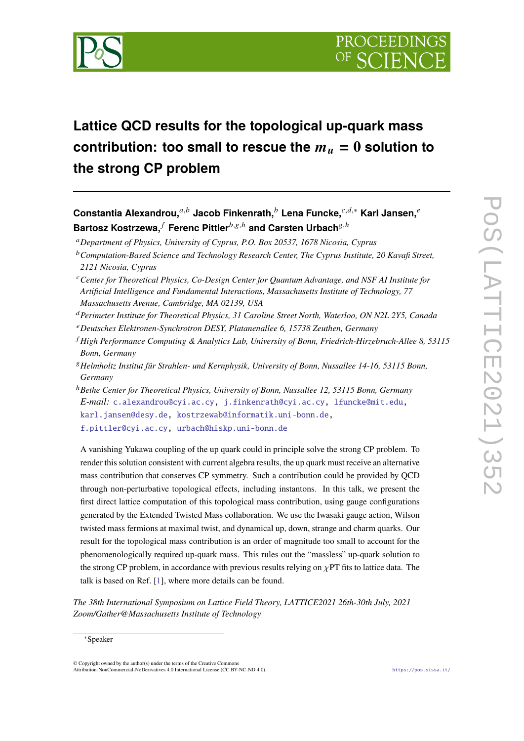

# **Lattice QCD results for the topological up-quark mass** contribution: too small to rescue the  $m_u = 0$  solution to **the strong CP problem**

**Constantia Alexandrou.**<sup>a,b</sup> Jacob Finkenrath.<sup>b</sup> Lena Funcke.<sup>c,d,∗</sup> Karl Jansen.<sup>e</sup> **Bartosz Kostrzewa,** *f* Ferenc Pittler<sup>b,g,h</sup> and Carsten Urbach<sup>g,h</sup>

*Department of Physics, University of Cyprus, P.O. Box 20537, 1678 Nicosia, Cyprus*

- *Perimeter Institute for Theoretical Physics, 31 Caroline Street North, Waterloo, ON N2L 2Y5, Canada*
- *Deutsches Elektronen-Synchrotron DESY, Platanenallee 6, 15738 Zeuthen, Germany*
- *High Performance Computing & Analytics Lab, University of Bonn, Friedrich-Hirzebruch-Allee 8, 53115 Bonn, Germany*
- *Helmholtz Institut für Strahlen- und Kernphysik, University of Bonn, Nussallee 14-16, 53115 Bonn, Germany*
- <sup>ℎ</sup>*Bethe Center for Theoretical Physics, University of Bonn, Nussallee 12, 53115 Bonn, Germany E-mail:* [c.alexandrou@cyi.ac.cy,](mailto:c.alexandrou@cyi.ac.cy) [j.finkenrath@cyi.ac.cy,](mailto:j.finkenrath@cyi.ac.cy) [lfuncke@mit.edu,](mailto:lfuncke@mit.edu) [karl.jansen@desy.de,](mailto:karl.jansen@desy.de) [kostrzewab@informatik.uni-bonn.de,](mailto:kostrzewab@informatik.uni-bonn.de) [f.pittler@cyi.ac.cy,](mailto:f.pittler@cyi.ac.cy) [urbach@hiskp.uni-bonn.de](mailto:urbach@hiskp.uni-bonn.de)

A vanishing Yukawa coupling of the up quark could in principle solve the strong CP problem. To render this solution consistent with current algebra results, the up quark must receive an alternative mass contribution that conserves CP symmetry. Such a contribution could be provided by QCD through non-perturbative topological effects, including instantons. In this talk, we present the first direct lattice computation of this topological mass contribution, using gauge configurations generated by the Extended Twisted Mass collaboration. We use the Iwasaki gauge action, Wilson twisted mass fermions at maximal twist, and dynamical up, down, strange and charm quarks. Our result for the topological mass contribution is an order of magnitude too small to account for the phenomenologically required up-quark mass. This rules out the "massless" up-quark solution to the strong CP problem, in accordance with previous results relying on  $\chi$ PT fits to lattice data. The talk is based on Ref. [\[1\]](#page-8-0), where more details can be found.

*The 38th International Symposium on Lattice Field Theory, LATTICE2021 26th-30th July, 2021 Zoom/Gather@Massachusetts Institute of Technology*

© Copyright owned by the author(s) under the terms of the Creative Commons Attribution-NonCommercial-NoDerivatives 4.0 International License (CC BY-NC-ND 4.0). <https://pos.sissa.it/>

*Computation-Based Science and Technology Research Center, The Cyprus Institute, 20 Kavafi Street, 2121 Nicosia, Cyprus*

*Center for Theoretical Physics, Co-Design Center for Quantum Advantage, and NSF AI Institute for Artificial Intelligence and Fundamental Interactions, Massachusetts Institute of Technology, 77 Massachusetts Avenue, Cambridge, MA 02139, USA*

<sup>∗</sup>Speaker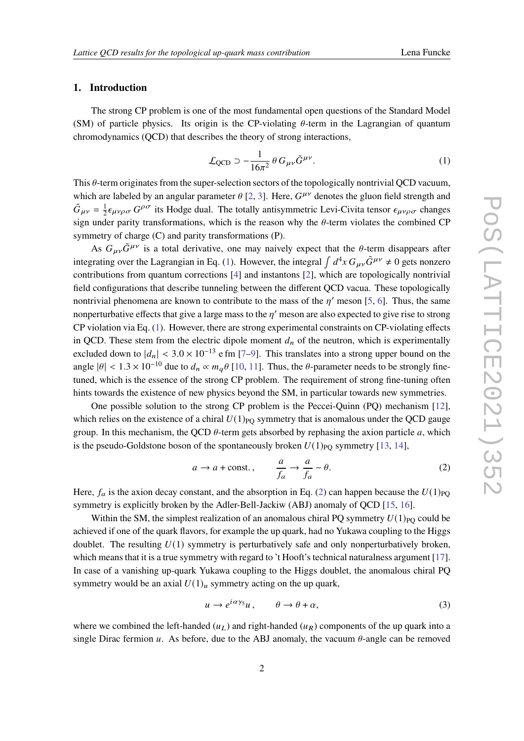## **1. Introduction**

The strong CP problem is one of the most fundamental open questions of the Standard Model (SM) of particle physics. Its origin is the CP-violating  $\theta$ -term in the Lagrangian of quantum chromodynamics (QCD) that describes the theory of strong interactions,

<span id="page-1-0"></span>
$$
\mathcal{L}_{\text{QCD}} \supset -\frac{1}{16\pi^2} \theta \, G_{\mu\nu} \tilde{G}^{\mu\nu}.
$$
 (1)

This  $\theta$ -term originates from the super-selection sectors of the topologically nontrivial OCD vacuum, which are labeled by an angular parameter  $\theta$  [\[2,](#page-8-1) [3\]](#page-8-2). Here,  $G^{\mu\nu}$  denotes the gluon field strength and  $\tilde{G}_{\mu\nu} = \frac{1}{2}$  $\frac{1}{2} \epsilon_{\mu\nu\rho\sigma} G^{\rho\sigma}$  its Hodge dual. The totally antisymmetric Levi-Civita tensor  $\epsilon_{\mu\nu\rho\sigma}$  changes sign under parity transformations, which is the reason why the  $\theta$ -term violates the combined CP symmetry of charge (C) and parity transformations (P).

As  $G_{\mu\nu}\tilde{G}^{\mu\nu}$  is a total derivative, one may naively expect that the  $\theta$ -term disappears after integrating over the Lagrangian in Eq. [\(1\)](#page-1-0). However, the integral  $\int d^4x G_{\mu\nu}\tilde{G}^{\mu\nu} \neq 0$  gets nonzero contributions from quantum corrections [\[4\]](#page-8-3) and instantons [\[2\]](#page-8-1), which are topologically nontrivial field configurations that describe tunneling between the different QCD vacua. These topologically nontrivial phenomena are known to contribute to the mass of the  $\eta'$  meson [\[5,](#page-8-4) [6\]](#page-8-5). Thus, the same nonperturbative effects that give a large mass to the  $n'$  meson are also expected to give rise to strong CP violation via Eq. [\(1\)](#page-1-0). However, there are strong experimental constraints on CP-violating effects in QCD. These stem from the electric dipole moment  $d_n$  of the neutron, which is experimentally excluded down to  $|d_n| < 3.0 \times 10^{-13}$  e fm [\[7–](#page-8-6)[9\]](#page-8-7). This translates into a strong upper bound on the angle  $|\theta| < 1.3 \times 10^{-10}$  due to  $d_n \propto m_q \theta$  [\[10,](#page-8-8) [11\]](#page-9-0). Thus, the  $\theta$ -parameter needs to be strongly finetuned, which is the essence of the strong CP problem. The requirement of strong fine-tuning often hints towards the existence of new physics beyond the SM, in particular towards new symmetries.

One possible solution to the strong CP problem is the Peccei-Quinn (PQ) mechanism [\[12\]](#page-9-1), which relies on the existence of a chiral  $U(1)_{PQ}$  symmetry that is anomalous under the OCD gauge group. In this mechanism, the QCD  $\theta$ -term gets absorbed by rephasing the axion particle a, which is the pseudo-Goldstone boson of the spontaneously broken  $U(1)_{\text{PO}}$  symmetry [\[13,](#page-9-2) [14\]](#page-9-3),

<span id="page-1-1"></span>
$$
a \to a + \text{const.},
$$
  $\frac{a}{f_a} \to \frac{a}{f_a} - \theta.$  (2)

Here,  $f_a$  is the axion decay constant, and the absorption in Eq. [\(2\)](#page-1-1) can happen because the  $U(1)_{\text{PO}}$ symmetry is explicitly broken by the Adler-Bell-Jackiw (ABJ) anomaly of QCD [\[15,](#page-9-4) [16\]](#page-9-5).

Within the SM, the simplest realization of an anomalous chiral PO symmetry  $U(1)_{PQ}$  could be achieved if one of the quark flavors, for example the up quark, had no Yukawa coupling to the Higgs doublet. The resulting  $U(1)$  symmetry is perturbatively safe and only nonperturbatively broken, which means that it is a true symmetry with regard to 't Hooft's technical naturalness argument [\[17\]](#page-9-6). In case of a vanishing up-quark Yukawa coupling to the Higgs doublet, the anomalous chiral PQ symmetry would be an axial  $U(1)_u$  symmetry acting on the up quark,

<span id="page-1-2"></span>
$$
u \to e^{i\alpha\gamma_5}u, \qquad \theta \to \theta + \alpha,\tag{3}
$$

where we combined the left-handed  $(u<sub>L</sub>)$  and right-handed  $(u<sub>R</sub>)$  components of the up quark into a single Dirac fermion u. As before, due to the ABJ anomaly, the vacuum  $\theta$ -angle can be removed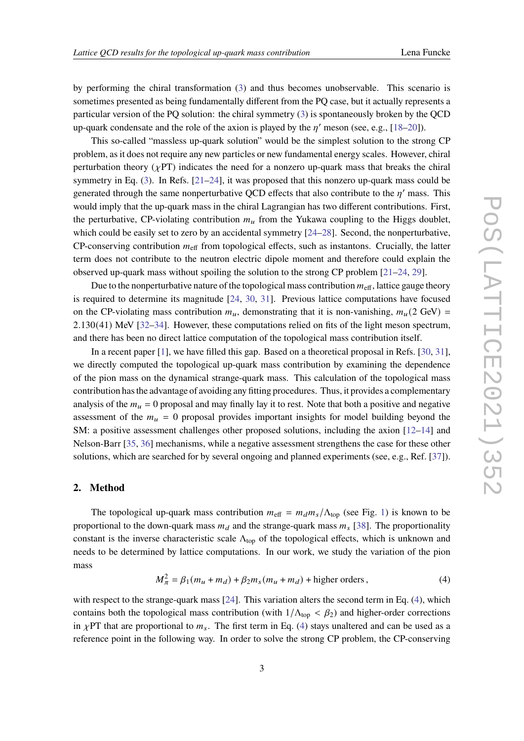by performing the chiral transformation [\(3\)](#page-1-2) and thus becomes unobservable. This scenario is sometimes presented as being fundamentally different from the PQ case, but it actually represents a particular version of the PQ solution: the chiral symmetry [\(3\)](#page-1-2) is spontaneously broken by the QCD up-quark condensate and the role of the axion is played by the  $n'$  meson (see, e.g., [\[18](#page-9-7)[–20\]](#page-9-8)).

This so-called "massless up-quark solution" would be the simplest solution to the strong CP problem, as it does not require any new particles or new fundamental energy scales. However, chiral perturbation theory ( $\chi$ PT) indicates the need for a nonzero up-quark mass that breaks the chiral symmetry in Eq.  $(3)$ . In Refs.  $[21-24]$  $[21-24]$ , it was proposed that this nonzero up-quark mass could be generated through the same nonperturbative OCD effects that also contribute to the  $n'$  mass. This would imply that the up-quark mass in the chiral Lagrangian has two different contributions. First, the perturbative, CP-violating contribution  $m<sub>u</sub>$  from the Yukawa coupling to the Higgs doublet, which could be easily set to zero by an accidental symmetry [\[24](#page-9-10)[–28\]](#page-9-11). Second, the nonperturbative, CP-conserving contribution  $m_{\text{eff}}$  from topological effects, such as instantons. Crucially, the latter term does not contribute to the neutron electric dipole moment and therefore could explain the observed up-quark mass without spoiling the solution to the strong CP problem [\[21–](#page-9-9)[24,](#page-9-10) [29\]](#page-10-0).

Due to the nonperturbative nature of the topological mass contribution  $m_{\text{eff}}$ , lattice gauge theory is required to determine its magnitude [\[24,](#page-9-10) [30,](#page-10-1) [31\]](#page-10-2). Previous lattice computations have focused on the CP-violating mass contribution  $m_u$ , demonstrating that it is non-vanishing,  $m_u(2 \text{ GeV})$  = 2.130(41) MeV [\[32](#page-10-3)[–34\]](#page-10-4). However, these computations relied on fits of the light meson spectrum, and there has been no direct lattice computation of the topological mass contribution itself.

In a recent paper [\[1\]](#page-8-0), we have filled this gap. Based on a theoretical proposal in Refs. [\[30,](#page-10-1) [31\]](#page-10-2), we directly computed the topological up-quark mass contribution by examining the dependence of the pion mass on the dynamical strange-quark mass. This calculation of the topological mass contribution has the advantage of avoiding any fitting procedures. Thus, it provides a complementary analysis of the  $m_u = 0$  proposal and may finally lay it to rest. Note that both a positive and negative assessment of the  $m_u = 0$  proposal provides important insights for model building beyond the SM: a positive assessment challenges other proposed solutions, including the axion [\[12–](#page-9-1)[14\]](#page-9-3) and Nelson-Barr [\[35,](#page-10-5) [36\]](#page-10-6) mechanisms, while a negative assessment strengthens the case for these other solutions, which are searched for by several ongoing and planned experiments (see, e.g., Ref. [\[37\]](#page-10-7)).

#### **2. Method**

The topological up-quark mass contribution  $m_{\text{eff}} = m_d m_s / \Lambda_{\text{top}}$  (see Fig. [1\)](#page-3-0) is known to be proportional to the down-quark mass  $m_d$  and the strange-quark mass  $m_s$  [\[38\]](#page-10-8). The proportionality constant is the inverse characteristic scale  $\Lambda_{\text{top}}$  of the topological effects, which is unknown and needs to be determined by lattice computations. In our work, we study the variation of the pion mass

<span id="page-2-0"></span>
$$
M_{\pi}^2 = \beta_1(m_u + m_d) + \beta_2 m_s(m_u + m_d) + \text{higher orders},\tag{4}
$$

with respect to the strange-quark mass [\[24\]](#page-9-10). This variation alters the second term in Eq. [\(4\)](#page-2-0), which contains both the topological mass contribution (with  $1/\Lambda_{\text{top}} < \beta_2$ ) and higher-order corrections in  $\chi$ PT that are proportional to  $m_s$ . The first term in Eq. [\(4\)](#page-2-0) stays unaltered and can be used as a reference point in the following way. In order to solve the strong CP problem, the CP-conserving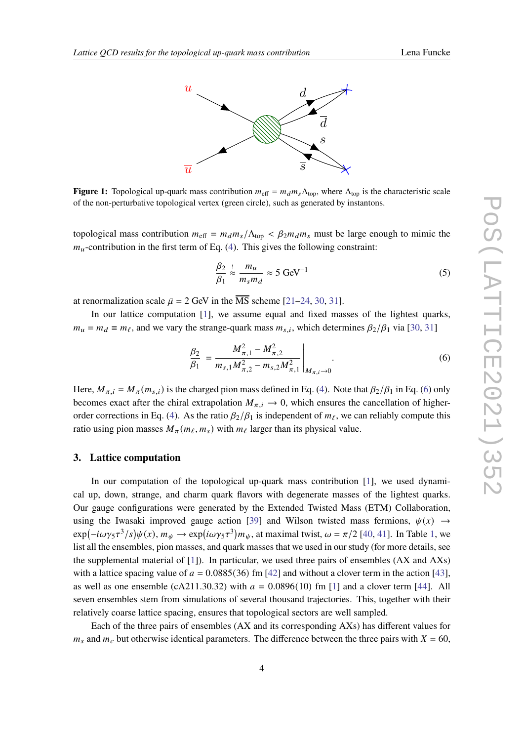<span id="page-3-0"></span>

**Figure 1:** Topological up-quark mass contribution  $m_{\text{eff}} = m_d m_s \Lambda_{\text{top}}$ , where  $\Lambda_{\text{top}}$  is the characteristic scale of the non-perturbative topological vertex (green circle), such as generated by instantons.

topological mass contribution  $m_{\text{eff}} = m_d m_s / \Lambda_{\text{top}} < \beta_2 m_d m_s$  must be large enough to mimic the  $m_u$ -contribution in the first term of Eq. [\(4\)](#page-2-0). This gives the following constraint:

<span id="page-3-2"></span>
$$
\frac{\beta_2}{\beta_1} \stackrel{!}{\approx} \frac{m_u}{m_s m_d} \approx 5 \text{ GeV}^{-1}
$$
 (5)

at renormalization scale  $\bar{\mu} = 2$  GeV in the  $\overline{\text{MS}}$  scheme [\[21](#page-9-9)[–24,](#page-9-10) [30,](#page-10-1) [31\]](#page-10-2).

In our lattice computation [\[1\]](#page-8-0), we assume equal and fixed masses of the lightest quarks,  $m_u = m_d \equiv m_\ell$ , and we vary the strange-quark mass  $m_{s,i}$ , which determines  $\beta_2/\beta_1$  via [\[30,](#page-10-1) [31\]](#page-10-2)

<span id="page-3-1"></span>
$$
\frac{\beta_2}{\beta_1} = \frac{M_{\pi,1}^2 - M_{\pi,2}^2}{m_{s,1} M_{\pi,2}^2 - m_{s,2} M_{\pi,1}^2} \Bigg|_{M_{\pi,i}\to 0}.
$$
\n(6)

Here,  $M_{\pi,i} = M_{\pi}(m_{s,i})$  is the charged pion mass defined in Eq. [\(4\)](#page-2-0). Note that  $\beta_2/\beta_1$  in Eq. [\(6\)](#page-3-1) only becomes exact after the chiral extrapolation  $M_{\pi,i} \to 0$ , which ensures the cancellation of higher-order corrections in Eq. [\(4\)](#page-2-0). As the ratio  $\beta_2/\beta_1$  is independent of  $m_\ell$ , we can reliably compute this ratio using pion masses  $M_{\pi}(m_{\ell}, m_s)$  with  $m_{\ell}$  larger than its physical value.

#### **3. Lattice computation**

In our computation of the topological up-quark mass contribution [\[1\]](#page-8-0), we used dynamical up, down, strange, and charm quark flavors with degenerate masses of the lightest quarks. Our gauge configurations were generated by the Extended Twisted Mass (ETM) Collaboration, using the Iwasaki improved gauge action [\[39\]](#page-10-9) and Wilson twisted mass fermions,  $\psi(x) \rightarrow$  $\exp(-i\omega\gamma_5\tau^3/s)\psi(x), m_\psi \to \exp(i\omega\gamma_5\tau^3)m_\psi$ , at maximal twist,  $\omega = \pi/2$  [\[40,](#page-10-10) [41\]](#page-10-11). In Table [1,](#page-4-0) we list all the ensembles, pion masses, and quark masses that we used in our study (for more details, see the supplemental material of [\[1\]](#page-8-0)). In particular, we used three pairs of ensembles (AX and AXs) with a lattice spacing value of  $a = 0.0885(36)$  fm [\[42\]](#page-10-12) and without a clover term in the action [\[43\]](#page-10-13), as well as one ensemble (cA211.30.32) with  $a = 0.0896(10)$  fm [\[1\]](#page-8-0) and a clover term [\[44\]](#page-10-14). All seven ensembles stem from simulations of several thousand trajectories. This, together with their relatively coarse lattice spacing, ensures that topological sectors are well sampled.

Each of the three pairs of ensembles (AX and its corresponding AXs) has different values for  $m_s$  and  $m_c$  but otherwise identical parameters. The difference between the three pairs with  $X = 60$ ,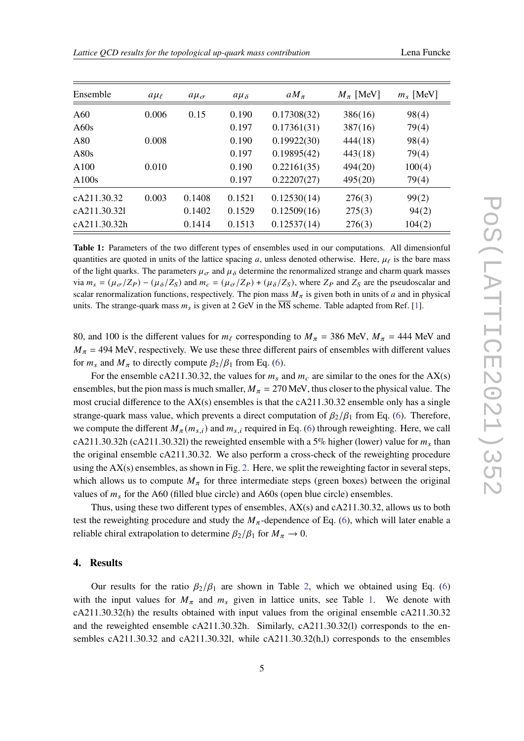<span id="page-4-0"></span>

| Ensemble     | $a\mu_{\ell}$ | $a\mu_{\sigma}$ | $a\mu_{\delta}$ | $aM_{\pi}$  | $M_{\pi}$ [MeV] | $m_s$ [MeV] |
|--------------|---------------|-----------------|-----------------|-------------|-----------------|-------------|
| A60          | 0.006         | 0.15            | 0.190           | 0.17308(32) | 386(16)         | 98(4)       |
| A60s         |               |                 | 0.197           | 0.17361(31) | 387(16)         | 79(4)       |
| A80          | 0.008         |                 | 0.190           | 0.19922(30) | 444(18)         | 98(4)       |
| A80s         |               |                 | 0.197           | 0.19895(42) | 443(18)         | 79(4)       |
| A100         | 0.010         |                 | 0.190           | 0.22161(35) | 494(20)         | 100(4)      |
| A100s        |               |                 | 0.197           | 0.22207(27) | 495(20)         | 79(4)       |
| cA211.30.32  | 0.003         | 0.1408          | 0.1521          | 0.12530(14) | 276(3)          | 99(2)       |
| cA211.30.32l |               | 0.1402          | 0.1529          | 0.12509(16) | 275(3)          | 94(2)       |
| cA211.30.32h |               | 0.1414          | 0.1513          | 0.12537(14) | 276(3)          | 104(2)      |

**Table 1:** Parameters of the two different types of ensembles used in our computations. All dimensionful quantities are quoted in units of the lattice spacing a, unless denoted otherwise. Here,  $\mu_f$  is the bare mass of the light quarks. The parameters  $\mu_{\sigma}$  and  $\mu_{\delta}$  determine the renormalized strange and charm quark masses via  $m_s = (\mu_{\sigma}/Z_P) - (\mu_{\delta}/Z_S)$  and  $m_c = (\mu_{\sigma}/Z_P) + (\mu_{\delta}/Z_S)$ , where  $Z_P$  and  $Z_S$  are the pseudoscalar and scalar renormalization functions, respectively. The pion mass  $M_{\pi}$  is given both in units of a and in physical units. The strange-quark mass  $m<sub>s</sub>$  is given at 2 GeV in the MS scheme. Table adapted from Ref. [\[1\]](#page-8-0).

80, and 100 is the different values for  $m_\ell$  corresponding to  $M_\pi$  = 386 MeV,  $M_\pi$  = 444 MeV and  $M_{\pi}$  = 494 MeV, respectively. We use these three different pairs of ensembles with different values for  $m_s$  and  $M_\pi$  to directly compute  $\beta_2/\beta_1$  from Eq. [\(6\)](#page-3-1).

For the ensemble cA211.30.32, the values for  $m_s$  and  $m_c$  are similar to the ones for the AX(s) ensembles, but the pion mass is much smaller,  $M_{\pi} = 270$  MeV, thus closer to the physical value. The most crucial difference to the AX(s) ensembles is that the cA211.30.32 ensemble only has a single strange-quark mass value, which prevents a direct computation of  $\beta_2/\beta_1$  from Eq. [\(6\)](#page-3-1). Therefore, we compute the different  $M_{\pi}(m_{s,i})$  and  $m_{s,i}$  required in Eq. [\(6\)](#page-3-1) through reweighting. Here, we call cA211.30.32h (cA211.30.32l) the reweighted ensemble with a 5% higher (lower) value for  $m_s$  than the original ensemble cA211.30.32. We also perform a cross-check of the reweighting procedure using the  $AX(s)$  ensembles, as shown in Fig. [2.](#page-5-0) Here, we split the reweighting factor in several steps, which allows us to compute  $M_{\pi}$  for three intermediate steps (green boxes) between the original values of  $m_s$  for the A60 (filled blue circle) and A60s (open blue circle) ensembles.

Thus, using these two different types of ensembles, AX(s) and cA211.30.32, allows us to both test the reweighting procedure and study the  $M_\pi$ -dependence of Eq. [\(6\)](#page-3-1), which will later enable a reliable chiral extrapolation to determine  $\beta_2/\beta_1$  for  $M_\pi \rightarrow 0$ .

#### **4. Results**

Our results for the ratio  $\beta_2/\beta_1$  are shown in Table [2,](#page-7-0) which we obtained using Eq. [\(6\)](#page-3-1) with the input values for  $M_{\pi}$  and  $m_s$  given in lattice units, see Table [1.](#page-4-0) We denote with cA211.30.32(h) the results obtained with input values from the original ensemble cA211.30.32 and the reweighted ensemble cA211.30.32h. Similarly, cA211.30.32(l) corresponds to the ensembles cA211.30.32 and cA211.30.32l, while cA211.30.32(h,l) corresponds to the ensembles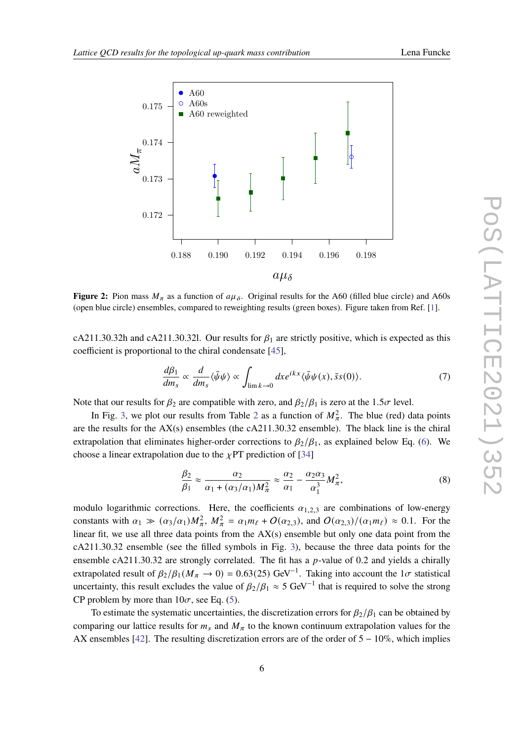

<span id="page-5-0"></span>

**Figure 2:** Pion mass  $M_{\pi}$  as a function of  $a\mu_{\delta}$ . Original results for the A60 (filled blue circle) and A60s (open blue circle) ensembles, compared to reweighting results (green boxes). Figure taken from Ref. [\[1\]](#page-8-0).

cA211.30.32h and cA211.30.32l. Our results for  $\beta_1$  are strictly positive, which is expected as this coefficient is proportional to the chiral condensate [\[45\]](#page-10-15),

$$
\frac{d\beta_1}{dm_s} \propto \frac{d}{dm_s} \langle \bar{\psi}\psi \rangle \propto \int_{\lim k \to 0} dx e^{ikx} \langle \bar{\psi}\psi(x), \bar{s}s(0) \rangle.
$$
 (7)

Note that our results for  $\beta_2$  are compatible with zero, and  $\beta_2/\beta_1$  is zero at the 1.5 $\sigma$  level.

In Fig. [3,](#page-6-0) we plot our results from Table [2](#page-7-0) as a function of  $M_{\pi}^2$ . The blue (red) data points are the results for the  $AX(s)$  ensembles (the  $cA211.30.32$  ensemble). The black line is the chiral extrapolation that eliminates higher-order corrections to  $\beta_2/\beta_1$ , as explained below Eq. [\(6\)](#page-3-1). We choose a linear extrapolation due to the  $\chi$ PT prediction of [\[34\]](#page-10-4)

<span id="page-5-1"></span>
$$
\frac{\beta_2}{\beta_1} \approx \frac{\alpha_2}{\alpha_1 + (\alpha_3/\alpha_1)M_\pi^2} \approx \frac{\alpha_2}{\alpha_1} - \frac{\alpha_2 \alpha_3}{\alpha_1^3} M_\pi^2,
$$
\n(8)

modulo logarithmic corrections. Here, the coefficients  $\alpha_{1,2,3}$  are combinations of low-energy constants with  $\alpha_1 \gg (\alpha_3/\alpha_1)M_{\pi}^2$ ,  $M_{\pi}^2 = \alpha_1 m_{\ell} + O(\alpha_{2,3})$ , and  $O(\alpha_{2,3})/(\alpha_1 m_{\ell}) \approx 0.1$ . For the linear fit, we use all three data points from the  $AX(s)$  ensemble but only one data point from the cA211.30.32 ensemble (see the filled symbols in Fig. [3\)](#page-6-0), because the three data points for the ensemble cA211.30.32 are strongly correlated. The fit has a  $p$ -value of 0.2 and yields a chirally extrapolated result of  $\beta_2/\beta_1 (M_\pi \to 0) = 0.63(25) \text{ GeV}^{-1}$ . Taking into account the  $1\sigma$  statistical uncertainty, this result excludes the value of  $\beta_2/\beta_1 \approx 5 \text{ GeV}^{-1}$  that is required to solve the strong CP problem by more than  $10\sigma$ , see Eq. [\(5\)](#page-3-2).

To estimate the systematic uncertainties, the discretization errors for  $\beta_2/\beta_1$  can be obtained by comparing our lattice results for  $m_s$  and  $M_\pi$  to the known continuum extrapolation values for the AX ensembles [\[42\]](#page-10-12). The resulting discretization errors are of the order of  $5 - 10\%$ , which implies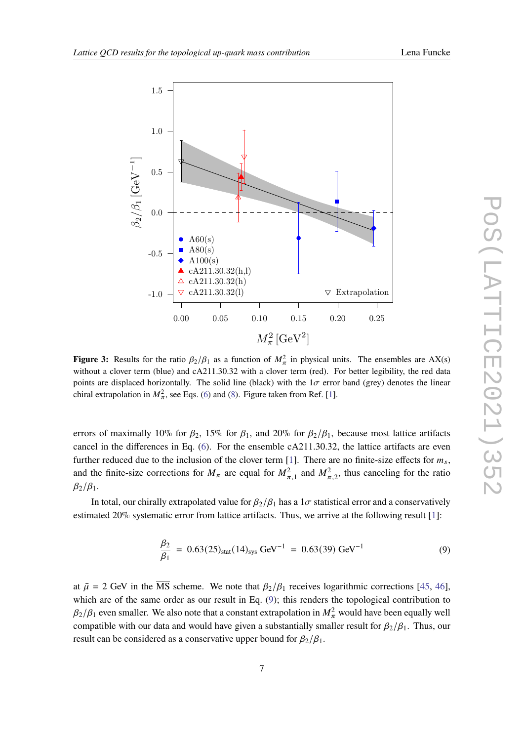<span id="page-6-0"></span>

**Figure 3:** Results for the ratio  $\beta_2/\beta_1$  as a function of  $M_\pi^2$  in physical units. The ensembles are AX(s) without a clover term (blue) and cA211.30.32 with a clover term (red). For better legibility, the red data points are displaced horizontally. The solid line (black) with the  $1\sigma$  error band (grey) denotes the linear chiral extrapolation in  $M_{\pi}^2$ , see Eqs. [\(6\)](#page-3-1) and [\(8\)](#page-5-1). Figure taken from Ref. [\[1\]](#page-8-0).

errors of maximally 10% for  $\beta_2$ , 15% for  $\beta_1$ , and 20% for  $\beta_2/\beta_1$ , because most lattice artifacts cancel in the differences in Eq. [\(6\)](#page-3-1). For the ensemble cA211.30.32, the lattice artifacts are even further reduced due to the inclusion of the clover term [\[1\]](#page-8-0). There are no finite-size effects for  $m_s$ , and the finite-size corrections for  $M_{\pi}$  are equal for  $M_{\pi,1}^2$  and  $M_{\pi,2}^2$ , thus canceling for the ratio  $\beta_2/\beta_1$ .

In total, our chirally extrapolated value for  $\beta_2/\beta_1$  has a  $1\sigma$  statistical error and a conservatively estimated 20% systematic error from lattice artifacts. Thus, we arrive at the following result [\[1\]](#page-8-0):

$$
\frac{\beta_2}{\beta_1} = 0.63(25)_{\text{stat}}(14)_{\text{sys}} \text{ GeV}^{-1} = 0.63(39) \text{ GeV}^{-1}
$$
 (9)

<span id="page-6-1"></span>at  $\bar{\mu} = 2$  GeV in the  $\overline{\text{MS}}$  scheme. We note that  $\beta_2/\beta_1$  receives logarithmic corrections [\[45,](#page-10-15) [46\]](#page-11-0), which are of the same order as our result in Eq. [\(9\)](#page-6-1); this renders the topological contribution to  $\beta_2/\beta_1$  even smaller. We also note that a constant extrapolation in  $M_\pi^2$  would have been equally well compatible with our data and would have given a substantially smaller result for  $\beta_2/\beta_1$ . Thus, our result can be considered as a conservative upper bound for  $\beta_2/\beta_1$ .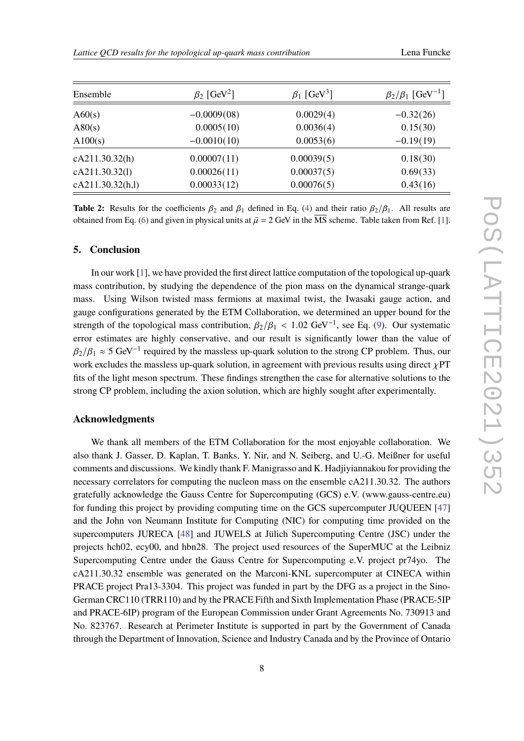<span id="page-7-0"></span>

| Ensemble         | $\beta_2$ [GeV <sup>2</sup> ] | $\beta_1$ [GeV <sup>3</sup> ] | $\beta_2/\beta_1$ [GeV <sup>-1</sup> ] |
|------------------|-------------------------------|-------------------------------|----------------------------------------|
| A60(s)           | $-0.0009(08)$                 | 0.0029(4)                     | $-0.32(26)$                            |
| A80(s)           | 0.0005(10)                    | 0.0036(4)                     | 0.15(30)                               |
| A100(s)          | $-0.0010(10)$                 | 0.0053(6)                     | $-0.19(19)$                            |
| cA211.30.32(h)   | 0.00007(11)                   | 0.00039(5)                    | 0.18(30)                               |
| cA211.30.32(1)   | 0.00026(11)                   | 0.00037(5)                    | 0.69(33)                               |
| cA211.30.32(h,l) | 0.00033(12)                   | 0.00076(5)                    | 0.43(16)                               |

**Table 2:** Results for the coefficients  $\beta_2$  and  $\beta_1$  defined in Eq. [\(4\)](#page-2-0) and their ratio  $\beta_2/\beta_1$ . All results are obtained from Eq. [\(6\)](#page-3-1) and given in physical units at  $\bar{\mu} = 2$  GeV in the  $\overline{\text{MS}}$  scheme. Table taken from Ref. [\[1\]](#page-8-0).

#### **5. Conclusion**

In our work [\[1\]](#page-8-0), we have provided the first direct lattice computation of the topological up-quark mass contribution, by studying the dependence of the pion mass on the dynamical strange-quark mass. Using Wilson twisted mass fermions at maximal twist, the Iwasaki gauge action, and gauge configurations generated by the ETM Collaboration, we determined an upper bound for the strength of the topological mass contribution,  $\beta_2/\beta_1 < 1.02$  GeV<sup>-1</sup>, see Eq. [\(9\)](#page-6-1). Our systematic error estimates are highly conservative, and our result is significantly lower than the value of  $\beta_2/\beta_1 \approx 5 \text{ GeV}^{-1}$  required by the massless up-quark solution to the strong CP problem. Thus, our work excludes the massless up-quark solution, in agreement with previous results using direct  $\chi PT$ fits of the light meson spectrum. These findings strengthen the case for alternative solutions to the strong CP problem, including the axion solution, which are highly sought after experimentally.

# **Acknowledgments**

We thank all members of the ETM Collaboration for the most enjoyable collaboration. We also thank J. Gasser, D. Kaplan, T. Banks, Y. Nir, and N. Seiberg, and U.-G. Meißner for useful comments and discussions. We kindly thank F. Manigrasso and K. Hadjiyiannakou for providing the necessary correlators for computing the nucleon mass on the ensemble cA211.30.32. The authors gratefully acknowledge the Gauss Centre for Supercomputing (GCS) e.V. (www.gauss-centre.eu) for funding this project by providing computing time on the GCS supercomputer JUQUEEN [\[47\]](#page-11-1) and the John von Neumann Institute for Computing (NIC) for computing time provided on the supercomputers JURECA [\[48\]](#page-11-2) and JUWELS at Jülich Supercomputing Centre (JSC) under the projects hch02, ecy00, and hbn28. The project used resources of the SuperMUC at the Leibniz Supercomputing Centre under the Gauss Centre for Supercomputing e.V. project pr74yo. The cA211.30.32 ensemble was generated on the Marconi-KNL supercomputer at CINECA within PRACE project Pra13-3304. This project was funded in part by the DFG as a project in the Sino-German CRC110 (TRR110) and by the PRACE Fifth and Sixth Implementation Phase (PRACE-5IP and PRACE-6IP) program of the European Commission under Grant Agreements No. 730913 and No. 823767. Research at Perimeter Institute is supported in part by the Government of Canada through the Department of Innovation, Science and Industry Canada and by the Province of Ontario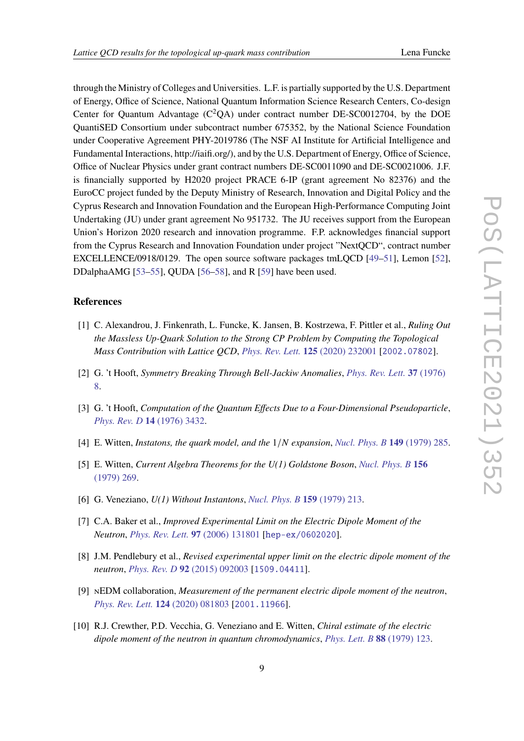through the Ministry of Colleges and Universities. L.F. is partially supported by the U.S. Department of Energy, Office of Science, National Quantum Information Science Research Centers, Co-design Center for Quantum Advantage  $(C^2OA)$  under contract number DE-SC0012704, by the DOE QuantiSED Consortium under subcontract number 675352, by the National Science Foundation under Cooperative Agreement PHY-2019786 (The NSF AI Institute for Artificial Intelligence and Fundamental Interactions, http://iaifi.org/), and by the U.S. Department of Energy, Office of Science, Office of Nuclear Physics under grant contract numbers DE-SC0011090 and DE-SC0021006. J.F. is financially supported by H2020 project PRACE 6-IP (grant agreement No 82376) and the EuroCC project funded by the Deputy Ministry of Research, Innovation and Digital Policy and the Cyprus Research and Innovation Foundation and the European High-Performance Computing Joint Undertaking (JU) under grant agreement No 951732. The JU receives support from the European Union's Horizon 2020 research and innovation programme. F.P. acknowledges financial support from the Cyprus Research and Innovation Foundation under project "NextQCD", contract number EXCELLENCE/0918/0129. The open source software packages tmLQCD [\[49–](#page-11-3)[51\]](#page-11-4), Lemon [\[52\]](#page-11-5), DDalphaAMG [\[53](#page-11-6)[–55\]](#page-11-7), QUDA [\[56](#page-11-8)[–58\]](#page-11-9), and R [\[59\]](#page-11-10) have been used.

### **References**

- <span id="page-8-0"></span>[1] C. Alexandrou, J. Finkenrath, L. Funcke, K. Jansen, B. Kostrzewa, F. Pittler et al., *Ruling Out the Massless Up-Quark Solution to the Strong CP Problem by Computing the Topological Mass Contribution with Lattice QCD*, *[Phys. Rev. Lett.](https://doi.org/10.1103/PhysRevLett.125.232001)* **125** (2020) 232001 [[2002.07802](https://arxiv.org/abs/2002.07802)].
- <span id="page-8-1"></span>[2] G. 't Hooft, *Symmetry Breaking Through Bell-Jackiw Anomalies*, *[Phys. Rev. Lett.](https://doi.org/10.1103/PhysRevLett.37.8)* **37** (1976) [8.](https://doi.org/10.1103/PhysRevLett.37.8)
- <span id="page-8-2"></span>[3] G. 't Hooft, *Computation of the Quantum Effects Due to a Four-Dimensional Pseudoparticle*, *[Phys. Rev. D](https://doi.org/10.1103/PhysRevD.18.2199.3)* **14** (1976) 3432.
- <span id="page-8-3"></span>[4] E. Witten, *Instatons, the quark model, and the* 1/ *expansion*, *[Nucl. Phys. B](https://doi.org/10.1016/0550-3213(79)90243-8)* **149** (1979) 285.
- <span id="page-8-4"></span>[5] E. Witten, *Current Algebra Theorems for the U(1) Goldstone Boson*, *[Nucl. Phys. B](https://doi.org/10.1016/0550-3213(79)90031-2)* **156** [\(1979\) 269.](https://doi.org/10.1016/0550-3213(79)90031-2)
- <span id="page-8-5"></span>[6] G. Veneziano, *U(1) Without Instantons*, *[Nucl. Phys. B](https://doi.org/10.1016/0550-3213(79)90332-8)* **159** (1979) 213.
- <span id="page-8-6"></span>[7] C.A. Baker et al., *Improved Experimental Limit on the Electric Dipole Moment of the Neutron*, *[Phys. Rev. Lett.](https://doi.org/10.1103/PhysRevLett.97.131801)* **97** (2006) 131801 [[hep-ex/0602020](https://arxiv.org/abs/hep-ex/0602020)].
- [8] J.M. Pendlebury et al., *Revised experimental upper limit on the electric dipole moment of the neutron*, *[Phys. Rev. D](https://doi.org/10.1103/PhysRevD.92.092003)* **92** (2015) 092003 [[1509.04411](https://arxiv.org/abs/1509.04411)].
- <span id="page-8-7"></span>[9] nEDM collaboration, *Measurement of the permanent electric dipole moment of the neutron*, *[Phys. Rev. Lett.](https://doi.org/10.1103/PhysRevLett.124.081803)* **124** (2020) 081803 [[2001.11966](https://arxiv.org/abs/2001.11966)].
- <span id="page-8-8"></span>[10] R.J. Crewther, P.D. Vecchia, G. Veneziano and E. Witten, *Chiral estimate of the electric dipole moment of the neutron in quantum chromodynamics*, *[Phys. Lett. B](https://doi.org/https://doi.org/10.1016/0370-2693(79)90128-X)* **88** (1979) 123.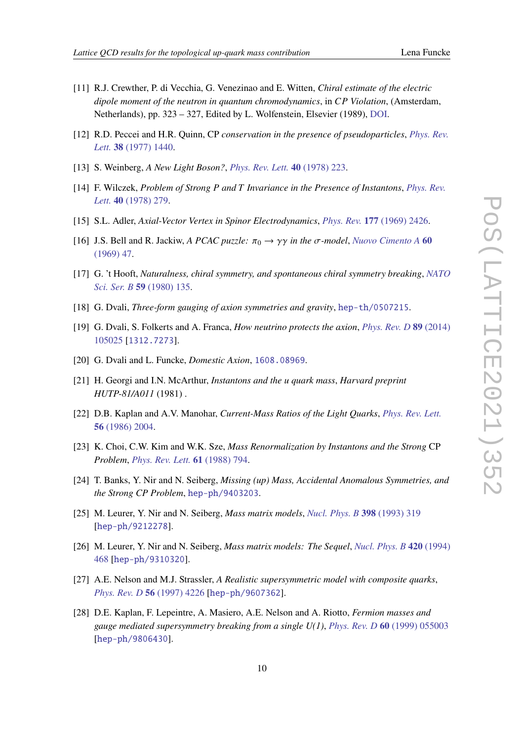- 
- <span id="page-9-0"></span>[11] R.J. Crewther, P. di Vecchia, G. Venezinao and E. Witten, *Chiral estimate of the electric dipole moment of the neutron in quantum chromodynamics*, in *CP Violation*, (Amsterdam, Netherlands), pp. 323 – 327, Edited by L. Wolfenstein, Elsevier (1989), [DOI.](https://doi.org/10.1016/B978-0-444-88081-9.50042-4)
- <span id="page-9-1"></span>[12] R.D. Peccei and H.R. Quinn, CP *conservation in the presence of pseudoparticles*, *[Phys. Rev.](https://doi.org/10.1103/PhysRevLett.38.1440) Lett.* **38** [\(1977\) 1440.](https://doi.org/10.1103/PhysRevLett.38.1440)
- <span id="page-9-2"></span>[13] S. Weinberg, *A New Light Boson?*, *[Phys. Rev. Lett.](https://doi.org/10.1103/PhysRevLett.40.223)* **40** (1978) 223.
- <span id="page-9-3"></span>[14] F. Wilczek, *Problem of Strong and Invariance in the Presence of Instantons*, *[Phys. Rev.](https://doi.org/10.1103/PhysRevLett.40.279) Lett.* **40** [\(1978\) 279.](https://doi.org/10.1103/PhysRevLett.40.279)
- <span id="page-9-4"></span>[15] S.L. Adler, *Axial-Vector Vertex in Spinor Electrodynamics*, *[Phys. Rev.](https://doi.org/10.1103/PhysRev.177.2426)* **177** (1969) 2426.
- <span id="page-9-5"></span>[16] J.S. Bell and R. Jackiw, *A PCAC puzzle:*  $\pi_0 \rightarrow \gamma \gamma$  in the  $\sigma$ -model, *[Nuovo Cimento A](https://doi.org/10.1007/BF02823296)* 60 [\(1969\) 47.](https://doi.org/10.1007/BF02823296)
- <span id="page-9-6"></span>[17] G. 't Hooft, *Naturalness, chiral symmetry, and spontaneous chiral symmetry breaking*, *[NATO](https://doi.org/10.1007/978-1-4684-7571-5_9) [Sci. Ser. B](https://doi.org/10.1007/978-1-4684-7571-5_9)* **59** (1980) 135.
- <span id="page-9-7"></span>[18] G. Dvali, *Three-form gauging of axion symmetries and gravity*, [hep-th/0507215](https://arxiv.org/abs/hep-th/0507215).
- [19] G. Dvali, S. Folkerts and A. Franca, *How neutrino protects the axion*, *[Phys. Rev. D](https://doi.org/10.1103/PhysRevD.89.105025)* **89** (2014) [105025](https://doi.org/10.1103/PhysRevD.89.105025) [[1312.7273](https://arxiv.org/abs/1312.7273)].
- <span id="page-9-8"></span>[20] G. Dvali and L. Funcke, *Domestic Axion*, [1608.08969](https://arxiv.org/abs/1608.08969).
- <span id="page-9-9"></span>[21] H. Georgi and I.N. McArthur, *Instantons and the u quark mass*, *Harvard preprint HUTP-81/A011* (1981) .
- [22] D.B. Kaplan and A.V. Manohar, *Current-Mass Ratios of the Light Quarks*, *[Phys. Rev. Lett.](https://doi.org/10.1103/PhysRevLett.56.2004)* **56** [\(1986\) 2004.](https://doi.org/10.1103/PhysRevLett.56.2004)
- [23] K. Choi, C.W. Kim and W.K. Sze, *Mass Renormalization by Instantons and the Strong* CP *Problem*, *[Phys. Rev. Lett.](https://doi.org/10.1103/PhysRevLett.61.794)* **61** (1988) 794.
- <span id="page-9-10"></span>[24] T. Banks, Y. Nir and N. Seiberg, *Missing (up) Mass, Accidental Anomalous Symmetries, and the Strong CP Problem*, [hep-ph/9403203](https://arxiv.org/abs/hep-ph/9403203).
- [25] M. Leurer, Y. Nir and N. Seiberg, *Mass matrix models*, *[Nucl. Phys. B](https://doi.org/10.1016/0550-3213(93)90112-3)* **398** (1993) 319 [[hep-ph/9212278](https://arxiv.org/abs/hep-ph/9212278)].
- [26] M. Leurer, Y. Nir and N. Seiberg, *Mass matrix models: The Sequel*, *[Nucl. Phys. B](https://doi.org/10.1016/0550-3213(94)90074-4)* **420** (1994) [468](https://doi.org/10.1016/0550-3213(94)90074-4) [[hep-ph/9310320](https://arxiv.org/abs/hep-ph/9310320)].
- [27] A.E. Nelson and M.J. Strassler, *A Realistic supersymmetric model with composite quarks*, *[Phys. Rev. D](https://doi.org/10.1103/PhysRevD.56.4226)* **56** (1997) 4226 [[hep-ph/9607362](https://arxiv.org/abs/hep-ph/9607362)].
- <span id="page-9-11"></span>[28] D.E. Kaplan, F. Lepeintre, A. Masiero, A.E. Nelson and A. Riotto, *Fermion masses and gauge mediated supersymmetry breaking from a single U(1)*, *[Phys. Rev. D](https://doi.org/10.1103/PhysRevD.60.055003)* **60** (1999) 055003 [[hep-ph/9806430](https://arxiv.org/abs/hep-ph/9806430)].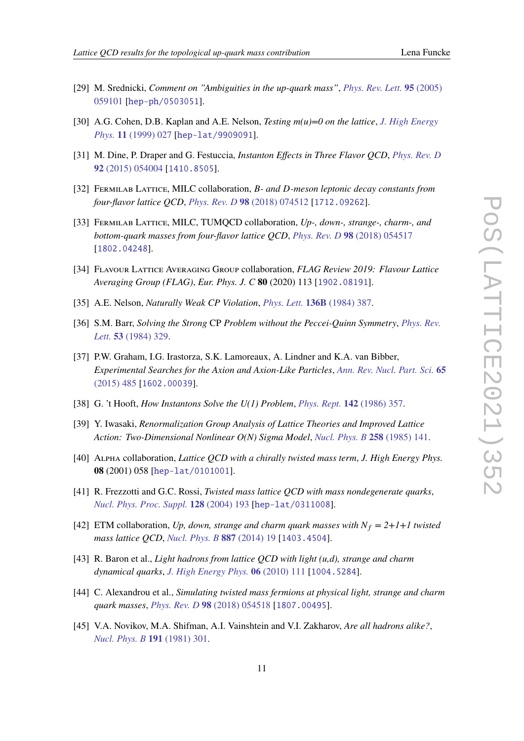- 
- <span id="page-10-0"></span>[29] M. Srednicki, *Comment on "Ambiguities in the up-quark mass"*, *[Phys. Rev. Lett.](https://doi.org/10.1103/PhysRevLett.95.059101)* **95** (2005) [059101](https://doi.org/10.1103/PhysRevLett.95.059101) [[hep-ph/0503051](https://arxiv.org/abs/hep-ph/0503051)].
- <span id="page-10-1"></span>[30] A.G. Cohen, D.B. Kaplan and A.E. Nelson, *Testing m(u)=0 on the lattice*, *[J. High Energy](https://doi.org/10.1088/1126-6708/1999/11/027) Phys.* **11** [\(1999\) 027](https://doi.org/10.1088/1126-6708/1999/11/027) [[hep-lat/9909091](https://arxiv.org/abs/hep-lat/9909091)].
- <span id="page-10-2"></span>[31] M. Dine, P. Draper and G. Festuccia, *Instanton Effects in Three Flavor QCD*, *[Phys. Rev. D](https://doi.org/10.1103/PhysRevD.92.054004)* **92** [\(2015\) 054004](https://doi.org/10.1103/PhysRevD.92.054004) [[1410.8505](https://arxiv.org/abs/1410.8505)].
- <span id="page-10-3"></span>[32] FERMILAB LATTICE, MILC collaboration, *B- and D-meson leptonic decay constants from four-flavor lattice QCD*, *[Phys. Rev. D](https://doi.org/10.1103/PhysRevD.98.074512)* **98** (2018) 074512 [[1712.09262](https://arxiv.org/abs/1712.09262)].
- [33] Fermilab Lattice, MILC, TUMQCD collaboration, *Up-, down-, strange-, charm-, and bottom-quark masses from four-flavor lattice QCD*, *[Phys. Rev. D](https://doi.org/10.1103/PhysRevD.98.054517)* **98** (2018) 054517 [[1802.04248](https://arxiv.org/abs/1802.04248)].
- <span id="page-10-4"></span>[34] Flavour Lattice Averaging Group collaboration, *FLAG Review 2019: Flavour Lattice Averaging Group (FLAG)*, *Eur. Phys. J. C* **80** (2020) 113 [[1902.08191](https://arxiv.org/abs/1902.08191)].
- <span id="page-10-5"></span>[35] A.E. Nelson, *Naturally Weak CP Violation*, *[Phys. Lett.](https://doi.org/10.1016/0370-2693(84)92025-2)* **136B** (1984) 387.
- <span id="page-10-6"></span>[36] S.M. Barr, *Solving the Strong* CP *Problem without the Peccei-Quinn Symmetry*, *[Phys. Rev.](https://doi.org/10.1103/PhysRevLett.53.329) Lett.* **53** [\(1984\) 329.](https://doi.org/10.1103/PhysRevLett.53.329)
- <span id="page-10-7"></span>[37] P.W. Graham, I.G. Irastorza, S.K. Lamoreaux, A. Lindner and K.A. van Bibber, *Experimental Searches for the Axion and Axion-Like Particles*, *[Ann. Rev. Nucl. Part. Sci.](https://doi.org/10.1146/annurev-nucl-102014-022120)* **65** [\(2015\) 485](https://doi.org/10.1146/annurev-nucl-102014-022120) [[1602.00039](https://arxiv.org/abs/1602.00039)].
- <span id="page-10-8"></span>[38] G. 't Hooft, *How Instantons Solve the U(1) Problem*, *[Phys. Rept.](https://doi.org/10.1016/0370-1573(86)90117-1)* **142** (1986) 357.
- <span id="page-10-9"></span>[39] Y. Iwasaki, *Renormalization Group Analysis of Lattice Theories and Improved Lattice Action: Two-Dimensional Nonlinear O(N) Sigma Model*, *[Nucl. Phys. B](https://doi.org/10.1016/0550-3213(85)90606-6)* **258** (1985) 141.
- <span id="page-10-10"></span>[40] Alpha collaboration, *Lattice QCD with a chirally twisted mass term*, *J. High Energy Phys.* **08** (2001) 058 [[hep-lat/0101001](https://arxiv.org/abs/hep-lat/0101001)].
- <span id="page-10-11"></span>[41] R. Frezzotti and G.C. Rossi, *Twisted mass lattice QCD with mass nondegenerate quarks*, *[Nucl. Phys. Proc. Suppl.](https://doi.org/10.1016/S0920-5632(03)02477-0)* **128** (2004) 193 [[hep-lat/0311008](https://arxiv.org/abs/hep-lat/0311008)].
- <span id="page-10-12"></span>[42] ETM collaboration, *Up, down, strange and charm quark masses with*  $N_f = 2 + 1 + 1$  *twisted mass lattice QCD*, *[Nucl. Phys. B](https://doi.org/10.1016/j.nuclphysb.2014.07.025)* **887** (2014) 19 [[1403.4504](https://arxiv.org/abs/1403.4504)].
- <span id="page-10-13"></span>[43] R. Baron et al., *Light hadrons from lattice QCD with light (u,d), strange and charm dynamical quarks*, *[J. High Energy Phys.](https://doi.org/10.1007/JHEP06(2010)111)* **06** (2010) 111 [[1004.5284](https://arxiv.org/abs/1004.5284)].
- <span id="page-10-14"></span>[44] C. Alexandrou et al., *Simulating twisted mass fermions at physical light, strange and charm quark masses*, *[Phys. Rev. D](https://doi.org/10.1103/PhysRevD.98.054518)* **98** (2018) 054518 [[1807.00495](https://arxiv.org/abs/1807.00495)].
- <span id="page-10-15"></span>[45] V.A. Novikov, M.A. Shifman, A.I. Vainshtein and V.I. Zakharov, *Are all hadrons alike?*, *[Nucl. Phys. B](https://doi.org/https://doi.org/10.1016/0550-3213(81)90303-5)* **191** (1981) 301.